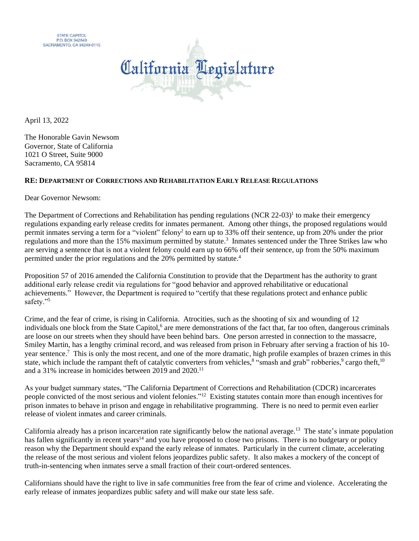



April 13, 2022

The Honorable Gavin Newsom Governor, State of California 1021 O Street, Suite 9000 Sacramento, CA 95814

## **RE: DEPARTMENT OF CORRECTIONS AND REHABILITATION EARLY RELEASE REGULATIONS**

Dear Governor Newsom:

The Department of Corrections and Rehabilitation has pending regulations (NCR 22-03)<sup>1</sup> to make their emergency regulations expanding early release credits for inmates permanent. Among other things, the proposed regulations would permit inmates serving a term for a "violent" felony<sup>2</sup> to earn up to 33% off their sentence, up from 20% under the prior regulations and more than the 15% maximum permitted by statute.<sup>3</sup> Inmates sentenced under the Three Strikes law who are serving a sentence that is not a violent felony could earn up to 66% off their sentence, up from the 50% maximum permitted under the prior regulations and the 20% permitted by statute.<sup>4</sup>

Proposition 57 of 2016 amended the California Constitution to provide that the Department has the authority to grant additional early release credit via regulations for "good behavior and approved rehabilitative or educational achievements." However, the Department is required to "certify that these regulations protect and enhance public safety."<sup>5</sup>

Crime, and the fear of crime, is rising in California. Atrocities, such as the shooting of six and wounding of 12 individuals one block from the State Capitol,<sup>6</sup> are mere demonstrations of the fact that, far too often, dangerous criminals are loose on our streets when they should have been behind bars. One person arrested in connection to the massacre, Smiley Martin, has a lengthy criminal record, and was released from prison in February after serving a fraction of his 10 year sentence.<sup>7</sup> This is only the most recent, and one of the more dramatic, high profile examples of brazen crimes in this state, which include the rampant theft of catalytic converters from vehicles,<sup>8</sup> "smash and grab" robberies,<sup>9</sup> cargo theft,<sup>10</sup> and a 31% increase in homicides between 2019 and 2020.<sup>11</sup>

As your budget summary states, "The California Department of Corrections and Rehabilitation (CDCR) incarcerates people convicted of the most serious and violent felonies."<sup>12</sup> Existing statutes contain more than enough incentives for prison inmates to behave in prison and engage in rehabilitative programming. There is no need to permit even earlier release of violent inmates and career criminals.

California already has a prison incarceration rate significantly below the national average.<sup>13</sup> The state's inmate population has fallen significantly in recent years<sup>14</sup> and you have proposed to close two prisons. There is no budgetary or policy reason why the Department should expand the early release of inmates. Particularly in the current climate, accelerating the release of the most serious and violent felons jeopardizes public safety. It also makes a mockery of the concept of truth-in-sentencing when inmates serve a small fraction of their court-ordered sentences.

Californians should have the right to live in safe communities free from the fear of crime and violence. Accelerating the early release of inmates jeopardizes public safety and will make our state less safe.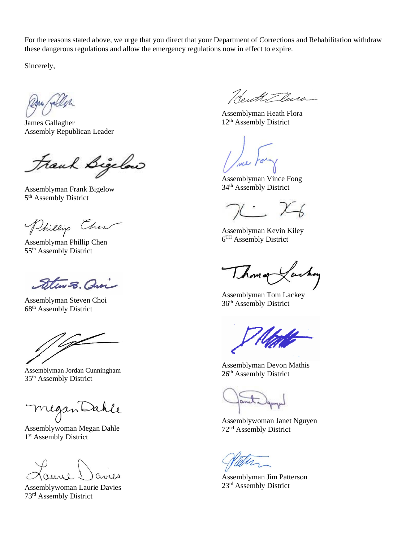For the reasons stated above, we urge that you direct that your Department of Corrections and Rehabilitation withdraw these dangerous regulations and allow the emergency regulations now in effect to expire.

Sincerely,

James Gallagher Assembly Republican Leader

Frank Bigelow

Assemblyman Frank Bigelow 5<sup>th</sup> Assembly District

Phillip Cher

Assemblyman Phillip Chen 55th Assembly District

Stew S. avi

Assemblyman Steven Choi 68th Assembly District

∕z

Assemblyman Jordan Cunningham 35th Assembly District

Megan Da

Assemblywoman Megan Dahle 1<sup>st</sup> Assembly District

avres

Assemblywoman Laurie Davies 73rd Assembly District

Neuth Tlura

Assemblyman Heath Flora 12<sup>th</sup> Assembly District

Assemblyman Vince Fong 34th Assembly District

 $X - \chi$ 

Assemblyman Kevin Kiley 6<sup>TH</sup> Assembly District

Thomas Lackey

Assemblyman Tom Lackey 36th Assembly District

Assemblyman Devon Mathis 26<sup>th</sup> Assembly District

Assemblywoman Janet Nguyen 72nd Assembly District

Assemblyman Jim Patterson 23rd Assembly District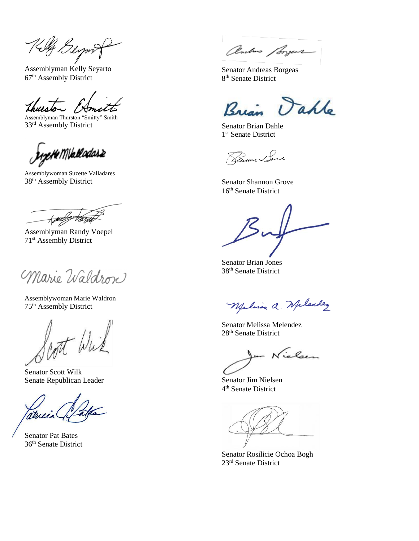Killy Beyont

Assemblyman Kelly Seyarto 67th Assembly District

Assemblyman Thurston "Smitty" Smith 33rd Assembly District

pHeM\balladas2

Assemblywoman Suzette Valladares 38th Assembly District

 $\overline{\mathcal{M}}$ tægt

Assemblyman Randy Voepel 71st Assembly District

Marie Waldron

Assemblywoman Marie Waldron 75th Assembly District

not Wil

Senator Scott Wilk Senate Republican Leader

atricia

Senator Pat Bates 36th Senate District

Onebus Sorgers

Senator Andreas Borgeas 8<sup>th</sup> Senate District

Bre Vahle

Senator Brian Dahle 1<sup>st</sup> Senate District

Ramar Sml

Senator Shannon Grove 16<sup>th</sup> Senate District

Senator Brian Jones 38th Senate District

Melina a. Melendez

Senator Melissa Melendez 28th Senate District

m Nichen

Senator Jim Nielsen 4 th Senate District

Senator Rosilicie Ochoa Bogh 23rd Senate District